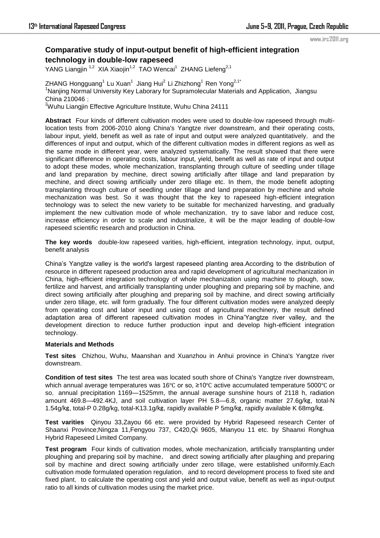# **Comparative study of input-output benefit of high-efficient integration technology in double-low rapeseed**

YANG Liangjin <sup>1,2</sup> XIA Xiaojin<sup>1,2</sup> TAO Wencai<sup>1</sup> ZHANG Liefeng<sup>2,1</sup>

ZHANG Hongguang $^1$  Lu Xuan $^1$  Jiang Hui $^2$  Li Zhizhong $^1$  Ren Yong $^{2,1^*}$ <sup>1</sup>Nanjing Normal University Key Laborary for Supramolecular Materials and Application, Jiangsu China 210046;

<sup>2</sup>Wuhu Liangjin Effective Agriculture Institute, Wuhu China 24111

**Abstract** Four kinds of different cultivation modes were used to double-low rapeseed through multilocation tests from 2006-2010 along China's Yangtze river downstream, and their operating costs, labour input, yield, benefit as well as rate of input and output were analyzed quantitatively, and the differences of input and output, which of the different cultivation modes in different regions as well as the same mode in different year, were analyzed systematically. The result showed that there were significant difference in operating costs, labour input, yield, benefit as well as rate of input and output to adopt these modes, whole mechanization, transplanting through culture of seedling under tillage and land preparation by mechine, direct sowing artificially after tillage and land preparation by mechine, and direct sowing artificially under zero tillage etc. In them, the mode benefit adopting transplanting through culture of seedling under tillage and land preparation by mechine and whole mechanization was best. So it was thought that the key to rapeseed high-efficient integration technology was to select the new variety to be suitable for mechanized harvesting, and gradually implement the new cultivation mode of whole mechanization, try to save labor and reduce cost, increase efficiency in order to scale and industrialize, it will be the major leading of double-low rapeseed scientific research and production in China.

**The key words** double-low rapeseed varities, high-efficient, integration technology, input, output, benefit analysis

China's Yangtze valley is the world's largest rapeseed planting area.According to the distribution of resource in different rapeseed production area and rapid development of agricultural mechanization in China, high-efficient integration technology of whole mechanization using machine to plough, sow, fertilize and harvest, and artificially transplanting under ploughing and preparing soil by machine, and direct sowing artificially after ploughing and preparing soil by machine, and direct sowing artificially under zero tillage, etc. will form gradually. The four different cultivation modes were analyzed deeply from operating cost and labor input and using cost of agricultural mechinery, the result defined adaptation area of different rapeseed cultivation modes in China'Yangtze river valley, and the development direction to reduce further production input and develop high-efficient integration technology.

## **Materials and Methods**

**Test sites** Chizhou, Wuhu, Maanshan and Xuanzhou in Anhui province in China's Yangtze river downstream.

**Condition of test sites** The test area was located south shore of China's Yangtze river downstream, which annual average temperatures was 16℃ or so, ≥10℃ active accumulated temperature 5000℃ or so, annual precipitation 1169—1525mm, the annual average sunshine hours of 2118 h, radiation amount 469.8—492.4KJ, and soil cultivation layer PH 5.8—6.8, organic matter 27.6g/㎏, total-N 1.54g/㎏, total-P 0.28g/kg, total-K13.1g/㎏, rapidly available P 5mg/㎏, rapidly available K 68mg/㎏.

**Test varities** Qinyou 33,Zayou 66 etc. were provided by Hybrid Rapeseed research Center of Shaanxi Province;Ningza 11,Fengyou 737, C420,Qi 9605, Mianyou 11 etc. by Shaanxi Ronghua Hybrid Rapeseed Limited Company.

**Test program** Four kinds of cultivation modes, whole mechanization, artificially transplanting under ploughing and preparing soil by machine, and direct sowing artificially after plaughing and preparing soil by machine and direct sowing artificially under zero tillage, were established uniformly.Each cultivation mode formulated operation regulation, and to record development process to fixed site and fixed plant, to calculate the operating cost and yield and output value, benefit as well as input-output ratio to all kinds of cultivation modes using the market price.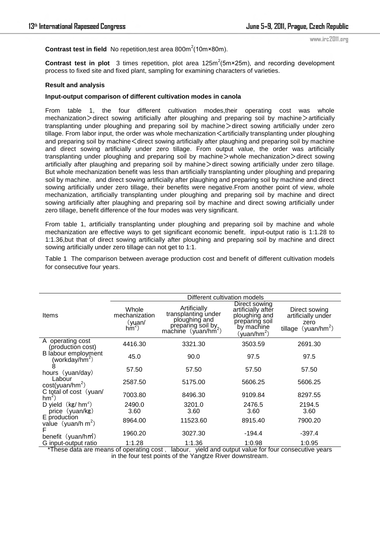**Contrast test in field** No repetition, test area  $800m^2(10m \times 80m)$ .

**Contrast test in plot** 3 times repetition, plot area  $125m^2(5m \times 25m)$ , and recording development process to fixed site and fixed plant, sampling for examining characters of varieties.

### **Result and analysis**

#### **Input-output comparison of different cultivation modes in canola**

From table 1, the four different cultivation modes,their operating cost was whole mechanization > direct sowing artificially after ploughing and preparing soil by machine > artificially transplanting under ploughing and preparing soil by machine>direct sowing artificially under zero tillage. From labor input, the order was whole mechanization  $\leq$  artificially transplanting under ploughing and preparing soil by machine $\leq$  direct sowing artificially after plaughing and preparing soil by machine and direct sowing artificially under zero tillage. From output value, the order was artificially transplanting under ploughing and preparing soil by machine>whole mechanization>direct sowing artificially after plaughing and preparing soil by mahine > direct sowing artificially under zero tillage. But whole mechanization benefit was less than artificially transplanting under ploughing and preparing soil by machine, and direct sowing artificially after plaughing and preparing soil by machine and direct sowing artificially under zero tillage, their benefits were negative.From another point of view, whole mechanization, artificially transplanting under ploughing and preparing soil by machine and direct sowing artificially after plaughing and preparing soil by machine and direct sowing artificially under zero tillage, benefit difference of the four modes was very significant.

From table 1, artificially transplanting under ploughing and preparing soil by machine and whole mechanization are effective ways to get significant economic benefit, input-output ratio is 1:1.28 to 1:1.36,but that of direct sowing artificially after ploughing and preparing soil by machine and direct sowing artificially under zero tillage can not get to 1:1.

Table 1 The comparison between average production cost and benefit of different cultivation models for consecutive four years.

|                                                       | Different cultivation models                                |                                                                                                              |                                                                                                              |                                                                      |  |
|-------------------------------------------------------|-------------------------------------------------------------|--------------------------------------------------------------------------------------------------------------|--------------------------------------------------------------------------------------------------------------|----------------------------------------------------------------------|--|
| Items                                                 | Whole<br>mechanization<br>$(y$ uan/<br>$\lim_{\rightarrow}$ | Artificially<br>transplanting under<br>ploughing and<br>preparing soil by<br>machine (yuan/hm <sup>2</sup> ) | Direct sowing<br>artificially after<br>ploughing and<br>preparing soil<br>by machine<br>$(\text{vuan/hm}^2)$ | Direct sowing<br>artificially under<br>zero<br>tillage $(yuan/hm^2)$ |  |
| A operating cost<br>(production cost)                 | 4416.30                                                     | 3321.30                                                                                                      | 3503.59                                                                                                      | 2691.30                                                              |  |
| B labour employment<br>(workday/hm <sup>2</sup> )     | 45.0                                                        | 90.0                                                                                                         | 97.5                                                                                                         | 97.5                                                                 |  |
| 8<br>hours (yuan/day)                                 | 57.50                                                       | 57.50                                                                                                        | 57.50                                                                                                        | 57.50                                                                |  |
| Labour<br>cost(yuan/hm <sup>2</sup> )                 | 2587.50                                                     | 5175.00                                                                                                      | 5606.25                                                                                                      | 5606.25                                                              |  |
| C total of cost (yuan/<br>hm <sup>2</sup>             | 7003.80                                                     | 8496.30                                                                                                      | 9109.84                                                                                                      | 8297.55                                                              |  |
| D yield $(kg/hm^2)$<br>price (yuan/kg)                | 2490.0<br>3.60                                              | 3201.0<br>3.60                                                                                               | 2476.5<br>3.60                                                                                               | 2194.5<br>3.60                                                       |  |
| E production<br>value (yuan/h $m^2$ )                 | 8964.00                                                     | 11523.60                                                                                                     | 8915.40                                                                                                      | 7900.20                                                              |  |
| benefit (yuan/hm <sup>*</sup> )                       | 1960.20                                                     | 3027.30                                                                                                      | $-194.4$                                                                                                     | $-397.4$                                                             |  |
| G input-output ratio<br>$\star$ Tkaaa data aya maaana | 1:1.28<br>af anasastina a nant                              | 1:1.36<br>وموموم وبروا وماروها ورزاحت التماريم لموم لملماني والتمطما                                         | 1:0.98                                                                                                       | 1:0.95                                                               |  |

These data are means of operating cost, labour, yield and output value for four consecutive years in the four test points of the Yangtze River downstream.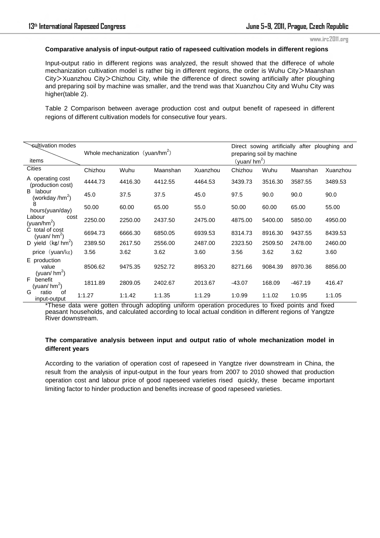#### **Comparative analysis of input-output ratio of rapeseed cultivation models in different regions**

Input-output ratio in different regions was analyzed, the result showed that the differece of whole mechanization cultivation model is rather big in different regions, the order is Wuhu City>Maanshan City>Xuanzhou City>Chizhou City, while the difference of direct sowing artificially after ploughing and preparing soil by machine was smaller, and the trend was that Xuanzhou City and Wuhu City was higher(table 2).

Table 2 Comparison between average production cost and output benefit of rapeseed in different regions of different cultivation models for consecutive four years.

| sultivation modes<br>items                                                                                                                                | Whole mechanization (yuan/hm <sup>2</sup> ) |         |          | Direct sowing artificially after ploughing<br>and<br>preparing soil by machine<br>(yuan/hm <sup>2</sup> ) |          |         |           |          |
|-----------------------------------------------------------------------------------------------------------------------------------------------------------|---------------------------------------------|---------|----------|-----------------------------------------------------------------------------------------------------------|----------|---------|-----------|----------|
| <b>Cities</b>                                                                                                                                             | Chizhou                                     | Wuhu    | Maanshan | Xuanzhou                                                                                                  | Chizhou  | Wuhu    | Maanshan  | Xuanzhou |
| A operating cost<br>(production cost)<br>labour<br>B.<br>(workday /hm <sup>2</sup> )<br>8<br>hours(yuan/day)<br>Labour<br>cost<br>(yuan/hm <sup>2</sup> ) | 4444.73                                     | 4416.30 | 4412.55  | 4464.53                                                                                                   | 3439.73  | 3516.30 | 3587.55   | 3489.53  |
|                                                                                                                                                           | 45.0                                        | 37.5    | 37.5     | 45.0                                                                                                      | 97.5     | 90.0    | 90.0      | 90.0     |
|                                                                                                                                                           | 50.00                                       | 60.00   | 65.00    | 55.0                                                                                                      | 50.00    | 60.00   | 65.00     | 55.00    |
|                                                                                                                                                           | 2250.00                                     | 2250.00 | 2437.50  | 2475.00                                                                                                   | 4875.00  | 5400.00 | 5850.00   | 4950.00  |
| C total of cost<br>(yuan/hm <sup>2</sup> )                                                                                                                | 6694.73                                     | 6666.30 | 6850.05  | 6939.53                                                                                                   | 8314.73  | 8916.30 | 9437.55   | 8439.53  |
| D yield $(kg/hm^2)$                                                                                                                                       | 2389.50                                     | 2617.50 | 2556.00  | 2487.00                                                                                                   | 2323.50  | 2509.50 | 2478.00   | 2460.00  |
| price (yuan/kg)                                                                                                                                           | 3.56                                        | 3.62    | 3.62     | 3.60                                                                                                      | 3.56     | 3.62    | 3.62      | 3.60     |
| E production<br>value<br>(yuan/ $hm^2$ )                                                                                                                  | 8506.62                                     | 9475.35 | 9252.72  | 8953.20                                                                                                   | 8271.66  | 9084.39 | 8970.36   | 8856.00  |
| F.<br>benefit<br>(yuan/ $hm^2$ )                                                                                                                          | 1811.89                                     | 2809.05 | 2402.67  | 2013.67                                                                                                   | $-43.07$ | 168.09  | $-467.19$ | 416.47   |
| G<br>ratio<br>of<br>input-output                                                                                                                          | 1:1.27                                      | 1:1.42  | 1:1.35   | 1:1.29                                                                                                    | 1:0.99   | 1:1.02  | 1:0.95    | 1:1.05   |

\*These data were gotten through adopting uniform operation procedures to fixed points and fixed peasant households, and calculated according to local actual condition in different regions of Yangtze River downstream.

## **The comparative analysis between input and output ratio of whole mechanization model in different years**

According to the variation of operation cost of rapeseed in Yangtze river downstream in China, the result from the analysis of input-output in the four years from 2007 to 2010 showed that production operation cost and labour price of good rapeseed varieties rised quickly, these became important limiting factor to hinder production and benefits increase of good rapeseed varieties.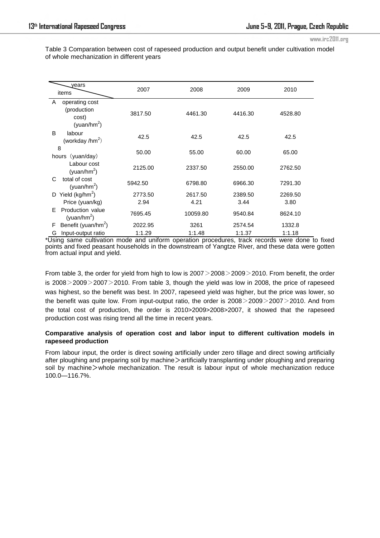Table 3 Comparation between cost of rapeseed production and output benefit under cultivation model of whole mechanization in different years

| years<br>items                                                         | 2007    | 2008     | 2009    | 2010    |
|------------------------------------------------------------------------|---------|----------|---------|---------|
| operating cost<br>A<br>(production<br>cost)<br>(yuan/hm <sup>2</sup> ) | 3817.50 | 4461.30  | 4416.30 | 4528.80 |
| B<br>labour<br>(workday /hm <sup>2</sup> )                             | 42.5    | 42.5     | 42.5    | 42.5    |
| 8<br>hours (yuan/day)                                                  | 50.00   | 55.00    | 60.00   | 65.00   |
| Labour cost<br>(yuan/hm <sup>2</sup> )                                 | 2125.00 | 2337.50  | 2550.00 | 2762.50 |
| total of cost<br>C<br>(yuan/hm <sup>2</sup> )                          | 5942.50 | 6798.80  | 6966.30 | 7291.30 |
| Yield ( $kg/hm2$ )<br>D                                                | 2773.50 | 2617.50  | 2389.50 | 2269.50 |
| Price (yuan/kg)                                                        | 2.94    | 4.21     | 3.44    | 3.80    |
| Production value<br>E<br>(yuan/hm <sup>2</sup> )                       | 7695.45 | 10059.80 | 9540.84 | 8624.10 |
| Benefit (yuan/hm <sup>2</sup> )<br>F                                   | 2022.95 | 3261     | 2574.54 | 1332.8  |
| Input-output ratio<br>G                                                | 1:1.29  | 1:1.48   | 1:1.37  | 1:1.18  |

\*Using same cultivation mode and uniform operation procedures, track records were done to fixed points and fixed peasant households in the downstream of Yangtze River, and these data were gotten from actual input and yield.

From table 3, the order for yield from high to low is 2007>2008>2009>2010. From benefit, the order is 2008>2009>2007>2010. From table 3, though the yield was low in 2008, the price of rapeseed was highest, so the benefit was best. In 2007, rapeseed yield was higher, but the price was lower, so the benefit was quite low. From input-output ratio, the order is  $2008 > 2009 > 2007 > 2010$ . And from the total cost of production, the order is 2010>2009>2008>2007, it showed that the rapeseed production cost was rising trend all the time in recent years.

## **Comparative analysis of operation cost and labor input to different cultivation models in rapeseed production**

From labour input, the order is direct sowing artificially under zero tillage and direct sowing artificially after ploughing and preparing soil by machine > artificially transplanting under ploughing and preparing soil by machine>whole mechanization. The result is labour input of whole mechanization reduce 100.0—116.7%.